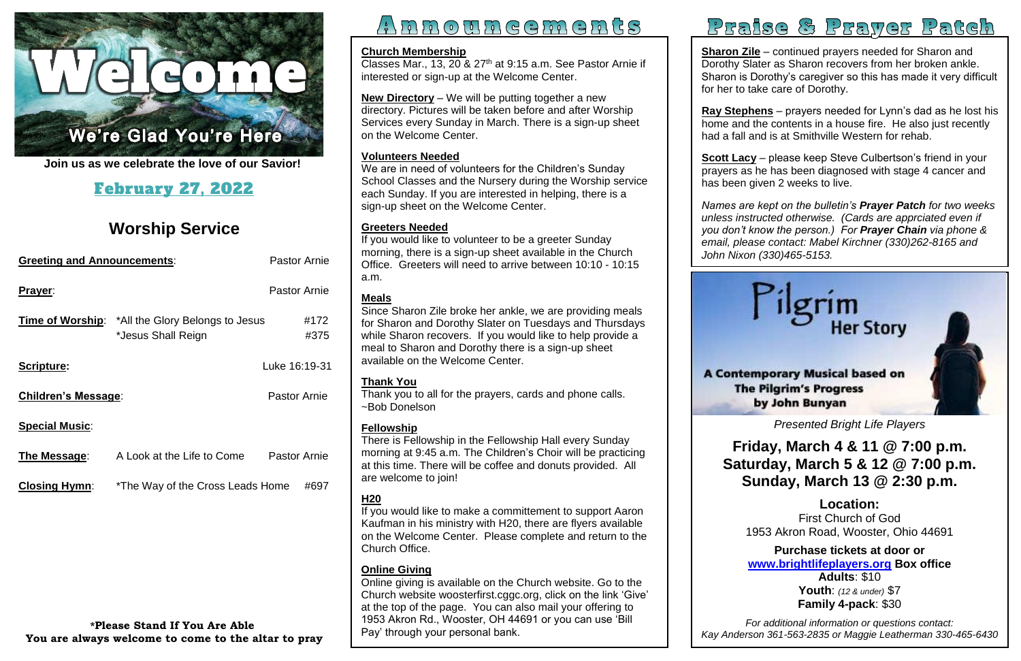

í. **Join us as we celebrate the love of our Savior!**

## February 27, 2022

## **Worship Service**

| <b>Greeting and Announcements:</b> |                                                                               | <b>Pastor Arnie</b> |  |
|------------------------------------|-------------------------------------------------------------------------------|---------------------|--|
| Prayer:                            |                                                                               | <b>Pastor Arnie</b> |  |
|                                    | <b>Time of Worship:</b> *All the Glory Belongs to Jesus<br>*Jesus Shall Reign | #172<br>#375        |  |
| Scripture:                         |                                                                               | Luke 16:19-31       |  |
| <b>Children's Message:</b>         |                                                                               | <b>Pastor Arnie</b> |  |
| <b>Special Music:</b>              |                                                                               |                     |  |
| The Message:                       | A Look at the Life to Come                                                    | <b>Pastor Arnie</b> |  |
| <b>Closing Hymn:</b>               | *The Way of the Cross Leads Home                                              | #697                |  |
|                                    |                                                                               |                     |  |
|                                    |                                                                               |                     |  |
|                                    |                                                                               |                     |  |
| $*$ Dloogo Stond If Vou Aso Ablo   |                                                                               |                     |  |

**Sharon Zile** – continued prayers needed for Sharon and Dorothy Slater as Sharon recovers from her broken ankle. Sharon is Dorothy's caregiver so this has made it very difficult for her to take care of Dorothy.

# $A$  n n o u n e e m e n t s



<u>scott Lacy</u> – piease keep steve Cuipertson's friend in your<br>prayers as he has been diagnosed with stage 4 cancer and **Scott Lacy** – please keep Steve Culbertson's friend in your has been given 2 weeks to live.

Classes Mar., 13, 20 & 27<sup>th</sup> at 9:15 a.m. See Pastor Arnie if interested or sign-up at the Welcome Center.

> **Ray Stephens** – prayers needed for Lynn's dad as he lost his home and the contents in a house fire. He also just recently had a fall and is at Smithville Western for rehab.

> *Names are kept on the bulletin's Prayer Patch for two weeks you don't know the person.) For Prayer Chain via phone & unless instructed otherwise. (Cards are apprciated even if email, please contact: Mabel Kirchner (330)262-8165 and John Nixon (330)465-5153.*

#### **Church Membership**

**New Directory** – We will be putting together a new directory. Pictures will be taken before and after Worship Services every Sunday in March. There is a sign-up sheet on the Welcome Center.

 at this time. There will be coffee and donuts provided. All There is Fellowship in the Fellowship Hall every Sunday morning at 9:45 a.m. The Children's Choir will be practicing are welcome to join!

#### **Volunteers Needed**

We are in need of volunteers for the Children's Sunday School Classes and the Nursery during the Worship service each Sunday. If you are interested in helping, there is a sign-up sheet on the Welcome Center.

 *Presented Bright Life Players*

### **Friday, March 4 & 11 @ 7:00 p.m. Saturday, March 5 & 12 @ 7:00 p.m. Sunday, March 13 @ 2:30 p.m.**

### **Greeters Needed**

 **Location:**  1953 Akron Road, Wooster, Ohio 44691 First Church of God

 **Purchase tickets at door or [www.brightlifeplayers.org](http://www.brightlifeplayers.org/) Box office Youth**: *(12 & under)* \$7  **Family 4-pack**: \$30 **Adults**: \$10

If you would like to volunteer to be a greeter Sunday morning, there is a sign-up sheet available in the Church Office. Greeters will need to arrive between 10:10 - 10:15 a.m.

> *For additional information or questions contact: Kay Anderson 361-563-2835 or Maggie Leatherman 330-465-6430*

## Praise & Prayer Patch

## **Meals**

Since Sharon Zile broke her ankle, we are providing meals for Sharon and Dorothy Slater on Tuesdays and Thursdays while Sharon recovers. If you would like to help provide a meal to Sharon and Dorothy there is a sign-up sheet available on the Welcome Center.

## **Thank You**

Thank you to all for the prayers, cards and phone calls. ~Bob Donelson

## **Fellowship**

## **H20**

If you would like to make a committement to support Aaron Kaufman in his ministry with H20, there are flyers available on the Welcome Center. Please complete and return to the Church Office.

### **Online Giving**

Online giving is available on the Church website. Go to the Church website [woosterfirst.cggc.org,](http://woosterfirst.cggc.org/) click on the link 'Give' at the top of the page. You can also mail your offering to 1953 Akron Rd., Wooster, OH 44691 or you can use 'Bill Pay' through your personal bank.

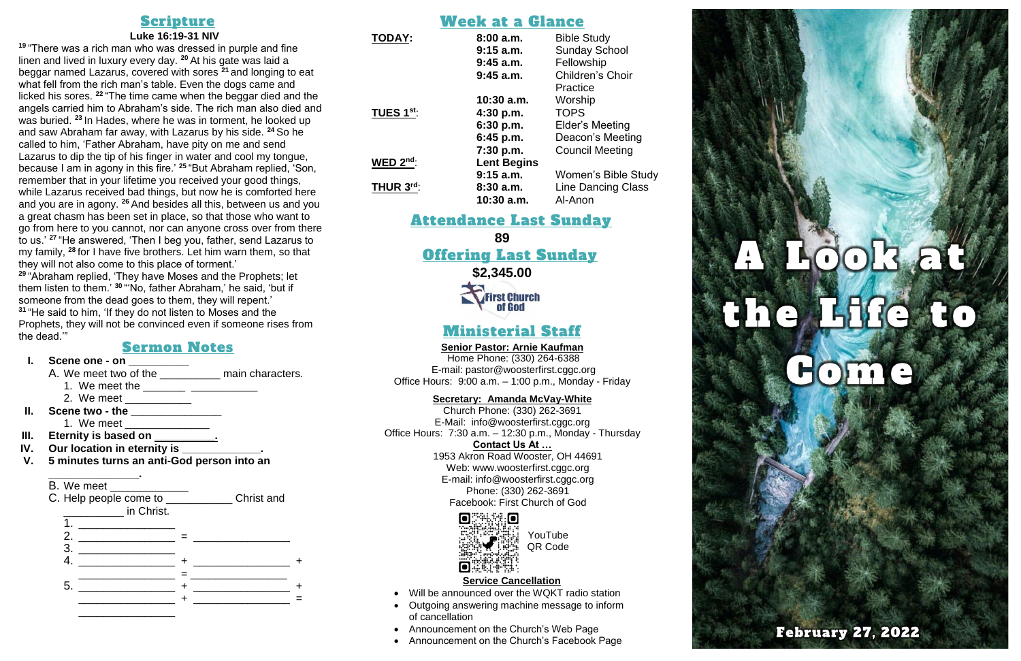## Scripture

#### **Luke 16:19-31 NIV**

**<sup>19</sup>** "There was a rich man who was dressed in purple and fine linen and lived in luxury every day. **<sup>20</sup>** At his gate was laid a beggar named Lazarus, covered with sores **<sup>21</sup>** and longing to eat what fell from the rich man's table. Even the dogs came and licked his sores. **<sup>22</sup>** "The time came when the beggar died and the angels carried him to Abraham's side. The rich man also died and was buried. **<sup>23</sup>** In Hades, where he was in torment, he looked up and saw Abraham far away, with Lazarus by his side. **<sup>24</sup>** So he called to him, 'Father Abraham, have pity on me and send Lazarus to dip the tip of his finger in water and cool my tongue, because I am in agony in this fire.' **<sup>25</sup>** "But Abraham replied, 'Son, remember that in your lifetime you received your good things, while Lazarus received bad things, but now he is comforted here and you are in agony. **<sup>26</sup>** And besides all this, between us and you a great chasm has been set in place, so that those who want to go from here to you cannot, nor can anyone cross over from there to us.' **<sup>27</sup>** "He answered, 'Then I beg you, father, send Lazarus to my family, **<sup>28</sup>** for I have five brothers. Let him warn them, so that they will not also come to this place of torment.'

**<sup>29</sup>** "Abraham replied, 'They have Moses and the Prophets; let them listen to them.' **<sup>30</sup>** "'No, father Abraham,' he said, 'but if someone from the dead goes to them, they will repent.' **<sup>31</sup>** "He said to him, 'If they do not listen to Moses and the Prophets, they will not be convinced even if someone rises from the dead.'"

### Sermon Notes

### **I. Scene one - on \_\_\_\_\_\_\_\_\_\_**

A. We meet two of the \_\_\_\_\_\_\_\_\_\_\_\_ main characters.

- 1. We meet the \_\_\_\_\_\_\_ \_\_\_\_\_\_\_\_\_\_\_
- 2. We meet \_\_\_\_\_\_\_\_\_\_\_\_\_
- **II. Scene two - the \_\_\_\_\_\_\_\_\_\_\_\_\_\_\_**
- 1. We meet \_\_\_\_\_\_\_\_\_\_\_\_\_\_\_\_
- **III. Eternity is based on \_\_\_\_\_\_\_\_\_\_.**
- **IV. Our location in eternity is \_\_\_\_\_\_\_\_\_\_\_\_\_.**
- **V. 5 minutes turns an anti-God person into an**

**\_\_\_\_\_\_\_\_\_\_\_\_\_\_\_.**





## Week at a Glance

| <b>TODAY:</b>          | 8:00a.m.           | <b>Bible Study</b>        |
|------------------------|--------------------|---------------------------|
|                        | $9:15$ a.m.        | <b>Sunday School</b>      |
|                        | $9:45$ a.m.        | Fellowship                |
|                        | $9:45$ a.m.        | <b>Children's Choir</b>   |
|                        |                    | Practice                  |
|                        | $10:30$ a.m.       | Worship                   |
| TUES 1 <sup>st</sup> : | 4:30 p.m.          | <b>TOPS</b>               |
|                        | 6:30 p.m.          | Elder's Meeting           |
|                        | 6:45 p.m.          | Deacon's Meeting          |
|                        | 7:30 p.m.          | <b>Council Meeting</b>    |
| WED $2^{nd}$ :         | <b>Lent Begins</b> |                           |
|                        | $9:15$ a.m.        | Women's Bible Study       |
| THUR 3rd:              | 8:30a.m.           | <b>Line Dancing Class</b> |
|                        | $10:30$ a.m.       | Al-Anon                   |
|                        |                    |                           |

## Attendance Last Sunday

**89**

## Offering Last Sunday

**\$2,345.00**

**First Church** of God

## Ministerial Staff

#### **Senior Pastor: Arnie Kaufman**

Home Phone: (330) 264-6388 E-mail: [pastor@woosterfirst.cggc.org](mailto:pastor@woosterfirst.cggc.org) Office Hours: 9:00 a.m. – 1:00 p.m., Monday - Friday

#### **Secretary: Amanda McVay-White**

Church Phone: (330) 262-3691 E-Mail: info@woosterfirst.cggc.org Office Hours: 7:30 a.m. – 12:30 p.m., Monday - Thursday

#### **Contact Us At …**

1953 Akron Road Wooster, OH 44691 Web: [www.woosterfirst.cggc.org](http://www.woosterfirst.cggc.org/) E-mail: info@woosterfirst.cggc.org Phone: (330) 262-3691 Facebook: First Church of God



#### **Service Cancellation**

- Will be announced over the WQKT radio station
- Outgoing answering machine message to inform of cancellation
- Announcement on the Church's Web Page
- Announcement on the Church's Facebook Page



YouTube QR Code